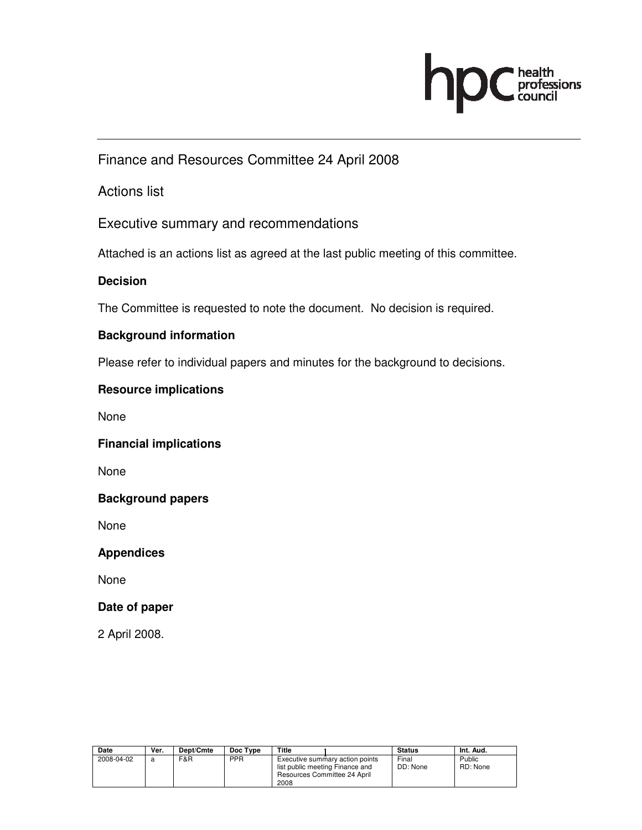

Finance and Resources Committee 24 April 2008

Actions list

Executive summary and recommendations

Attached is an actions list as agreed at the last public meeting of this committee.

## **Decision**

The Committee is requested to note the document. No decision is required.

## **Background information**

Please refer to individual papers and minutes for the background to decisions.

## **Resource implications**

None

#### **Financial implications**

None

## **Background papers**

None

#### **Appendices**

None

## **Date of paper**

2 April 2008.

| <b>Date</b> | Ver. | Dept/Cmte | Doc Type   | Title                                                                                                      | <b>Status</b>     | Int. Aud.          |
|-------------|------|-----------|------------|------------------------------------------------------------------------------------------------------------|-------------------|--------------------|
| 2008-04-02  | a    | F&R       | <b>PPR</b> | Executive summary action points<br>list public meeting Finance and<br>Resources Committee 24 April<br>2008 | Final<br>DD: None | Public<br>RD: None |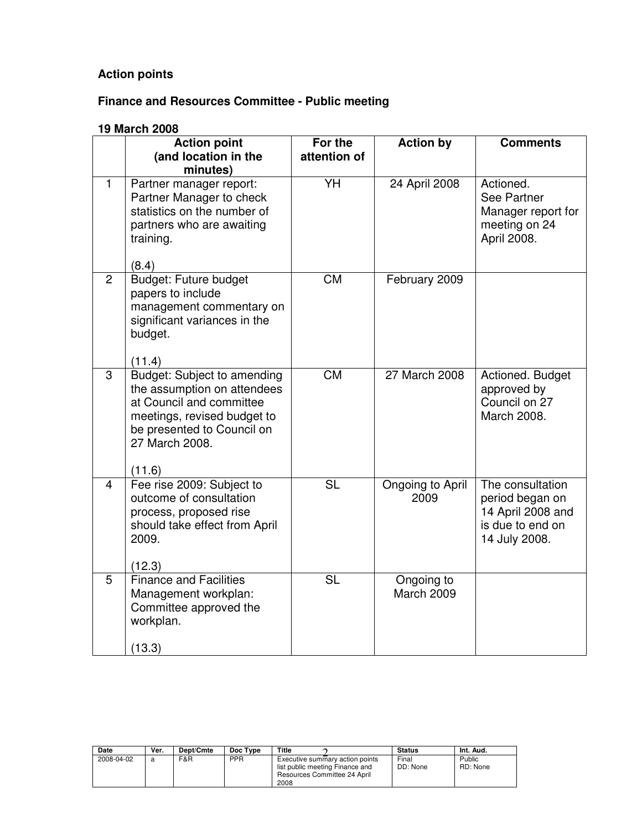## **Action points**

# **Finance and Resources Committee - Public meeting**

#### **19 March 2008**

|                | <b>Action point</b><br>(and location in the<br>minutes)                                                                                                                         | For the<br>attention of | <b>Action by</b>         | <b>Comments</b>                                                                               |
|----------------|---------------------------------------------------------------------------------------------------------------------------------------------------------------------------------|-------------------------|--------------------------|-----------------------------------------------------------------------------------------------|
| $\mathbf{1}$   | Partner manager report:<br>Partner Manager to check<br>statistics on the number of<br>partners who are awaiting<br>training.<br>(8.4)                                           | YH                      | 24 April 2008            | Actioned.<br>See Partner<br>Manager report for<br>meeting on 24<br>April 2008.                |
| $\overline{2}$ | <b>Budget: Future budget</b><br>papers to include<br>management commentary on<br>significant variances in the<br>budget.<br>(11.4)                                              | <b>CM</b>               | February 2009            |                                                                                               |
| 3              | Budget: Subject to amending<br>the assumption on attendees<br>at Council and committee<br>meetings, revised budget to<br>be presented to Council on<br>27 March 2008.<br>(11.6) | $\overline{\text{CM}}$  | <b>27 March 2008</b>     | Actioned. Budget<br>approved by<br>Council on 27<br>March 2008.                               |
| $\overline{4}$ | Fee rise 2009: Subject to<br>outcome of consultation<br>process, proposed rise<br>should take effect from April<br>2009.<br>(12.3)                                              | <b>SL</b>               | Ongoing to April<br>2009 | The consultation<br>period began on<br>14 April 2008 and<br>is due to end on<br>14 July 2008. |
| 5              | <b>Finance and Facilities</b><br>Management workplan:<br>Committee approved the<br>workplan.<br>(13.3)                                                                          | $\overline{\text{SL}}$  | Ongoing to<br>March 2009 |                                                                                               |

| <b>Date</b> | Ver. | Dept/Cmte | Doc Type   | Title                                                                                                      | <b>Status</b>     | Int. Aud.          |
|-------------|------|-----------|------------|------------------------------------------------------------------------------------------------------------|-------------------|--------------------|
| 2008-04-02  |      | F&R       | <b>PPR</b> | Executive summary action points<br>list public meeting Finance and<br>Resources Committee 24 April<br>2008 | Final<br>DD: None | Public<br>RD: None |